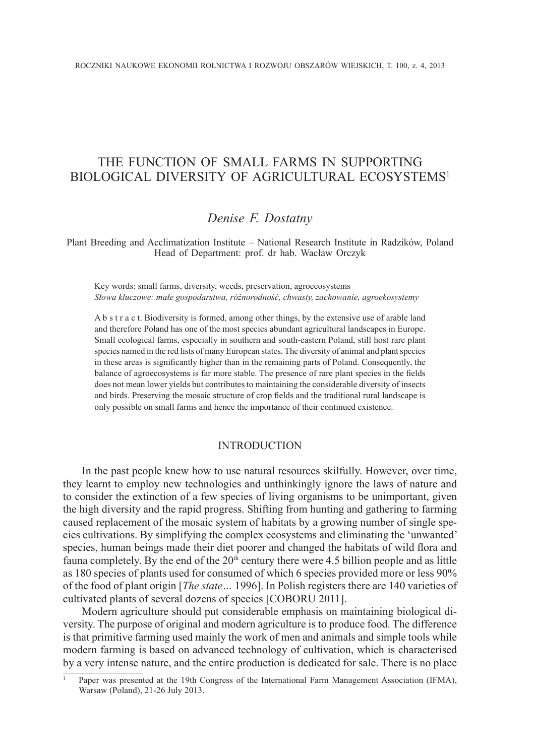# THE FUNCTION OF SMALL FARMS IN SUPPORTING BIOLOGICAL DIVERSITY OF AGRICULTURAL ECOSYSTEMS<sup>1</sup>

## *Denise F. Dostatny*

Plant Breeding and Acclimatization Institute – National Research Institute in Radzików, Poland Head of Department: prof. dr hab. Wacław Orczyk

Key words: small farms, diversity, weeds, preservation, agroecosystems *Słowa kluczowe: małe gospodarstwa, różnorodność, chwasty, zachowanie, agroekosystemy*

A b s t r a c t. Biodiversity is formed, among other things, by the extensive use of arable land and therefore Poland has one of the most species abundant agricultural landscapes in Europe. Small ecological farms, especially in southern and south-eastern Poland, still host rare plant species named in the red lists of many European states. The diversity of animal and plant species in these areas is significantly higher than in the remaining parts of Poland. Consequently, the balance of agroecosystems is far more stable. The presence of rare plant species in the fields does not mean lower yields but contributes to maintaining the considerable diversity of insects and birds. Preserving the mosaic structure of crop fields and the traditional rural landscape is only possible on small farms and hence the importance of their continued existence.

### INTRODUCTION

In the past people knew how to use natural resources skilfully. However, over time, they learnt to employ new technologies and unthinkingly ignore the laws of nature and to consider the extinction of a few species of living organisms to be unimportant, given the high diversity and the rapid progress. Shifting from hunting and gathering to farming caused replacement of the mosaic system of habitats by a growing number of single species cultivations. By simplifying the complex ecosystems and eliminating the 'unwanted' species, human beings made their diet poorer and changed the habitats of wild flora and fauna completely. By the end of the  $20<sup>th</sup>$  century there were 4.5 billion people and as little as 180 species of plants used for consumed of which 6 species provided more or less 90% of the food of plant origin [*The state…* 1996]. In Polish registers there are 140 varieties of cultivated plants of several dozens of species [COBORU 2011].

Modern agriculture should put considerable emphasis on maintaining biological diversity. The purpose of original and modern agriculture is to produce food. The difference is that primitive farming used mainly the work of men and animals and simple tools while modern farming is based on advanced technology of cultivation, which is characterised by a very intense nature, and the entire production is dedicated for sale. There is no place

<sup>1</sup> Paper was presented at the 19th Congress of the International Farm Management Association (IFMA), Warsaw (Poland), 21-26 July 2013.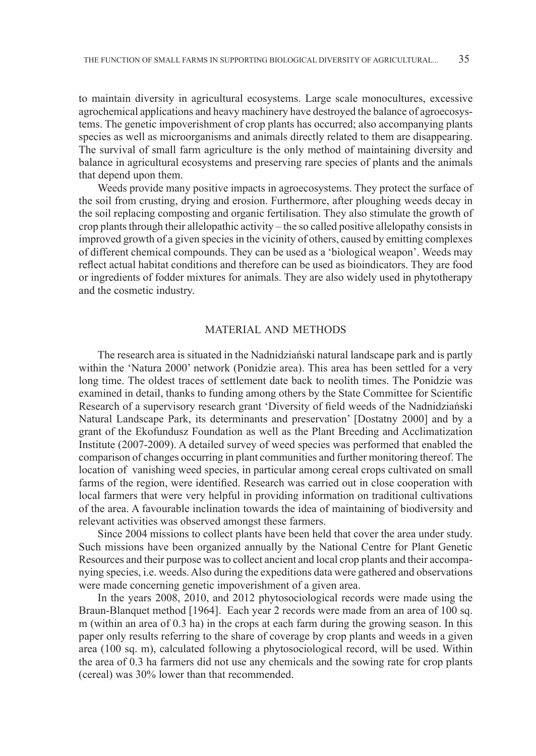to maintain diversity in agricultural ecosystems. Large scale monocultures, excessive agrochemical applications and heavy machinery have destroyed the balance of agroecosystems. The genetic impoverishment of crop plants has occurred; also accompanying plants species as well as microorganisms and animals directly related to them are disappearing. The survival of small farm agriculture is the only method of maintaining diversity and balance in agricultural ecosystems and preserving rare species of plants and the animals that depend upon them.

Weeds provide many positive impacts in agroecosystems. They protect the surface of the soil from crusting, drying and erosion. Furthermore, after ploughing weeds decay in the soil replacing composting and organic fertilisation. They also stimulate the growth of crop plants through their allelopathic activity – the so called positive allelopathy consists in improved growth of a given species in the vicinity of others, caused by emitting complexes of different chemical compounds. They can be used as a 'biological weapon'. Weeds may reflect actual habitat conditions and therefore can be used as bioindicators. They are food or ingredients of fodder mixtures for animals. They are also widely used in phytotherapy and the cosmetic industry.

#### MATERIAL AND METHODS

The research area is situated in the Nadnidziański natural landscape park and is partly within the 'Natura 2000' network (Ponidzie area). This area has been settled for a very long time. The oldest traces of settlement date back to neolith times. The Ponidzie was examined in detail, thanks to funding among others by the State Committee for Scientific Research of a supervisory research grant 'Diversity of field weeds of the Nadnidziański Natural Landscape Park, its determinants and preservation' [Dostatny 2000] and by a grant of the Ekofundusz Foundation as well as the Plant Breeding and Acclimatization Institute (2007-2009). A detailed survey of weed species was performed that enabled the comparison of changes occurring in plant communities and further monitoring thereof. The location of vanishing weed species, in particular among cereal crops cultivated on small farms of the region, were identified. Research was carried out in close cooperation with local farmers that were very helpful in providing information on traditional cultivations of the area. A favourable inclination towards the idea of maintaining of biodiversity and relevant activities was observed amongst these farmers.

Since 2004 missions to collect plants have been held that cover the area under study. Such missions have been organized annually by the National Centre for Plant Genetic Resources and their purpose was to collect ancient and local crop plants and their accompanying species, i.e. weeds. Also during the expeditions data were gathered and observations were made concerning genetic impoverishment of a given area.

In the years 2008, 2010, and 2012 phytosociological records were made using the Braun-Blanquet method [1964]. Each year 2 records were made from an area of 100 sq. m (within an area of 0.3 ha) in the crops at each farm during the growing season. In this paper only results referring to the share of coverage by crop plants and weeds in a given area (100 sq. m), calculated following a phytosociological record, will be used. Within the area of 0.3 ha farmers did not use any chemicals and the sowing rate for crop plants (cereal) was 30% lower than that recommended.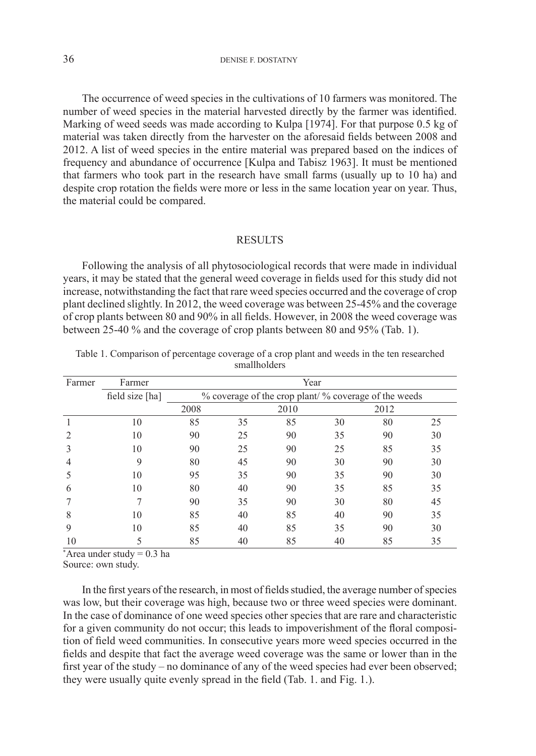The occurrence of weed species in the cultivations of 10 farmers was monitored. The number of weed species in the material harvested directly by the farmer was identified. Marking of weed seeds was made according to Kulpa [1974]. For that purpose 0.5 kg of material was taken directly from the harvester on the aforesaid fields between 2008 and 2012. A list of weed species in the entire material was prepared based on the indices of frequency and abundance of occurrence [Kulpa and Tabisz 1963]. It must be mentioned that farmers who took part in the research have small farms (usually up to 10 ha) and despite crop rotation the fields were more or less in the same location year on year. Thus, the material could be compared.

### **RESULTS**

Following the analysis of all phytosociological records that were made in individual years, it may be stated that the general weed coverage in fields used for this study did not increase, notwithstanding the fact that rare weed species occurred and the coverage of crop plant declined slightly. In 2012, the weed coverage was between 25-45% and the coverage of crop plants between 80 and 90% in all fields. However, in 2008 the weed coverage was between 25-40 % and the coverage of crop plants between 80 and 95% (Tab. 1).

| Farmer         | Year<br>Farmer  |                                                       |    |      |    |      |    |
|----------------|-----------------|-------------------------------------------------------|----|------|----|------|----|
|                | field size [ha] | % coverage of the crop plant/ % coverage of the weeds |    |      |    |      |    |
|                |                 | 2008                                                  |    | 2010 |    | 2012 |    |
|                | 10              | 85                                                    | 35 | 85   | 30 | 80   | 25 |
| $\overline{2}$ | 10              | 90                                                    | 25 | 90   | 35 | 90   | 30 |
| 3              | 10              | 90                                                    | 25 | 90   | 25 | 85   | 35 |
| $\overline{4}$ | 9               | 80                                                    | 45 | 90   | 30 | 90   | 30 |
| 5              | 10              | 95                                                    | 35 | 90   | 35 | 90   | 30 |
| 6              | 10              | 80                                                    | 40 | 90   | 35 | 85   | 35 |
|                |                 | 90                                                    | 35 | 90   | 30 | 80   | 45 |
| 8              | 10              | 85                                                    | 40 | 85   | 40 | 90   | 35 |
| 9              | 10              | 85                                                    | 40 | 85   | 35 | 90   | 30 |
| 10             |                 | 85                                                    | 40 | 85   | 40 | 85   | 35 |

Table 1. Comparison of percentage coverage of a crop plant and weeds in the ten researched smallholders

\* Area under study = 0.3 ha

Source: own study.

In the first years of the research, in most of fields studied, the average number of species was low, but their coverage was high, because two or three weed species were dominant. In the case of dominance of one weed species other species that are rare and characteristic for a given community do not occur; this leads to impoverishment of the floral composition of field weed communities. In consecutive years more weed species occurred in the fields and despite that fact the average weed coverage was the same or lower than in the first year of the study – no dominance of any of the weed species had ever been observed; they were usually quite evenly spread in the field (Tab. 1. and Fig. 1.).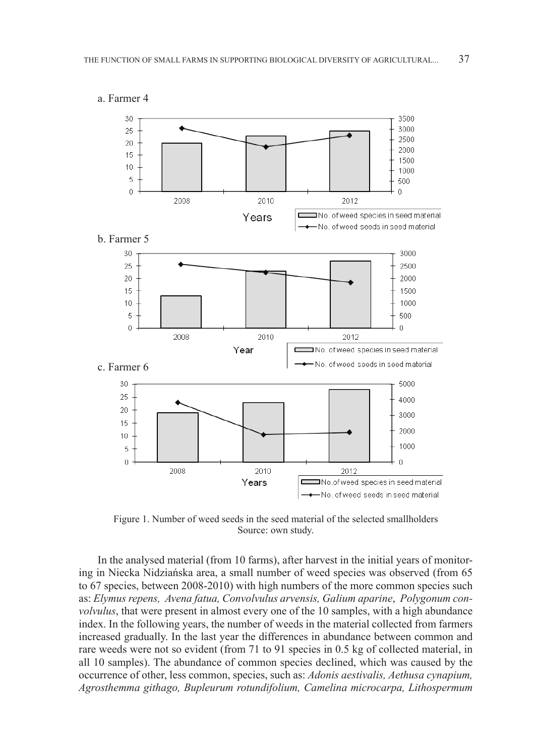

Figure 1. Number of weed seeds in the seed material of the selected smallholders Source: own study.

In the analysed material (from 10 farms), after harvest in the initial years of monitoring in Niecka Nidziańska area, a small number of weed species was observed (from 65 to 67 species, between 2008-2010) with high numbers of the more common species such as: *Elymus repens, Avena fatua, Convolvulus arvensis, Galium aparine*, *Polygonum convolvulus*, that were present in almost every one of the 10 samples, with a high abundance index. In the following years, the number of weeds in the material collected from farmers increased gradually. In the last year the differences in abundance between common and rare weeds were not so evident (from 71 to 91 species in 0.5 kg of collected material, in all 10 samples). The abundance of common species declined, which was caused by the occurrence of other, less common, species, such as: *Adonis aestivalis, Aethusa cynapium, Agrosthemma githago, Bupleurum rotundifolium, Camelina microcarpa, Lithospermum*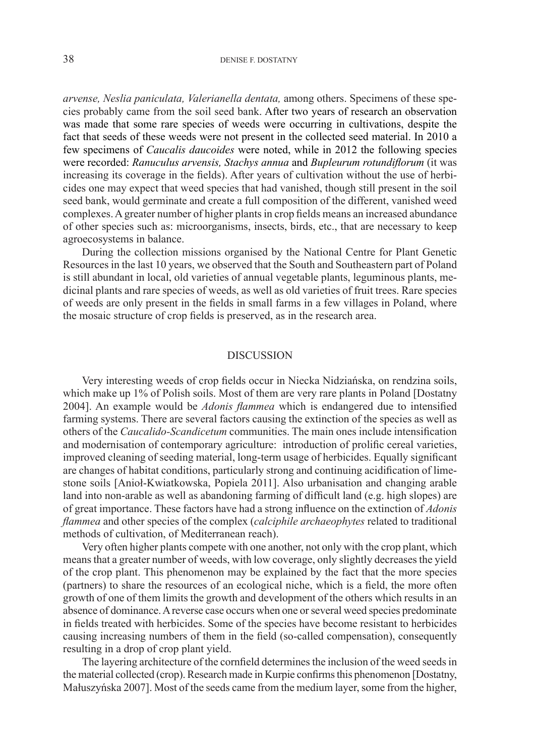*arvense, Neslia paniculata, Valerianella dentata,* among others. Specimens of these species probably came from the soil seed bank. After two years of research an observation was made that some rare species of weeds were occurring in cultivations, despite the fact that seeds of these weeds were not present in the collected seed material. In 2010 a few specimens of *Caucalis daucoides* were noted, while in 2012 the following species were recorded: *Ranuculus arvensis, Stachys annua* and *Bupleurum rotundiflorum* (it was increasing its coverage in the fields). After years of cultivation without the use of herbicides one may expect that weed species that had vanished, though still present in the soil seed bank, would germinate and create a full composition of the different, vanished weed complexes. A greater number of higher plants in crop fields means an increased abundance of other species such as: microorganisms, insects, birds, etc., that are necessary to keep agroecosystems in balance.

During the collection missions organised by the National Centre for Plant Genetic Resources in the last 10 years, we observed that the South and Southeastern part of Poland is still abundant in local, old varieties of annual vegetable plants, leguminous plants, medicinal plants and rare species of weeds, as well as old varieties of fruit trees. Rare species of weeds are only present in the fields in small farms in a few villages in Poland, where the mosaic structure of crop fields is preserved, as in the research area.

### **DISCUSSION**

Very interesting weeds of crop fields occur in Niecka Nidziańska, on rendzina soils, which make up 1% of Polish soils. Most of them are very rare plants in Poland [Dostatny 2004]. An example would be *Adonis flammea* which is endangered due to intensified farming systems. There are several factors causing the extinction of the species as well as others of the *Caucalido-Scandicetum* communities. The main ones include intensification and modernisation of contemporary agriculture: introduction of prolific cereal varieties, improved cleaning of seeding material, long-term usage of herbicides. Equally significant are changes of habitat conditions, particularly strong and continuing acidification of limestone soils [Anioł-Kwiatkowska, Popiela 2011]. Also urbanisation and changing arable land into non-arable as well as abandoning farming of difficult land (e.g. high slopes) are of great importance. These factors have had a strong influence on the extinction of *Adonis flammea* and other species of the complex (*calciphile archaeophytes* related to traditional methods of cultivation, of Mediterranean reach).

Very often higher plants compete with one another, not only with the crop plant, which means that a greater number of weeds, with low coverage, only slightly decreases the yield of the crop plant. This phenomenon may be explained by the fact that the more species (partners) to share the resources of an ecological niche, which is a field, the more often growth of one of them limits the growth and development of the others which results in an absence of dominance. A reverse case occurs when one or several weed species predominate in fields treated with herbicides. Some of the species have become resistant to herbicides causing increasing numbers of them in the field (so-called compensation), consequently resulting in a drop of crop plant yield.

The layering architecture of the cornfield determines the inclusion of the weed seeds in the material collected (crop). Research made in Kurpie confirms this phenomenon [Dostatny, Małuszyńska 2007]. Most of the seeds came from the medium layer, some from the higher,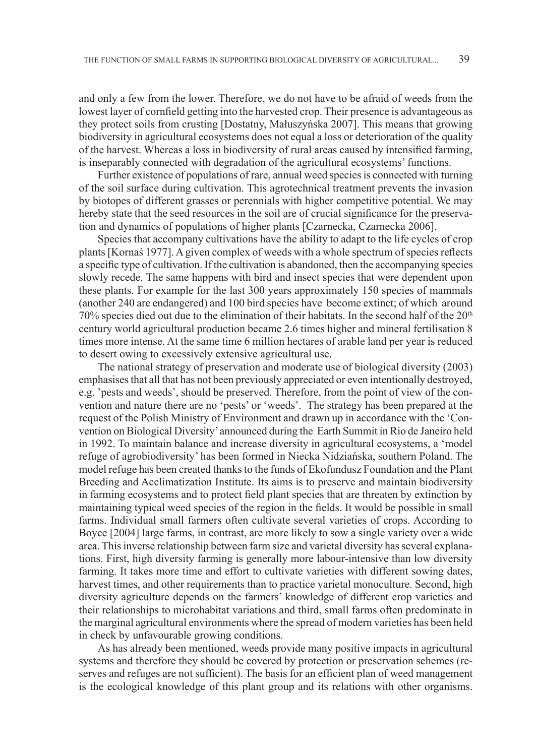and only a few from the lower. Therefore, we do not have to be afraid of weeds from the lowest layer of cornfield getting into the harvested crop. Their presence is advantageous as they protect soils from crusting [Dostatny, Małuszyńska 2007]. This means that growing biodiversity in agricultural ecosystems does not equal a loss or deterioration of the quality of the harvest. Whereas a loss in biodiversity of rural areas caused by intensified farming, is inseparably connected with degradation of the agricultural ecosystems' functions.

Further existence of populations of rare, annual weed species is connected with turning of the soil surface during cultivation. This agrotechnical treatment prevents the invasion by biotopes of different grasses or perennials with higher competitive potential. We may hereby state that the seed resources in the soil are of crucial significance for the preservation and dynamics of populations of higher plants [Czarnecka, Czarnecka 2006].

Species that accompany cultivations have the ability to adapt to the life cycles of crop plants [Kornaś 1977]. A given complex of weeds with a whole spectrum of species reflects a specific type of cultivation. If the cultivation is abandoned, then the accompanying species slowly recede. The same happens with bird and insect species that were dependent upon these plants. For example for the last 300 years approximately 150 species of mammals (another 240 are endangered) and 100 bird species have become extinct; of which around 70% species died out due to the elimination of their habitats. In the second half of the  $20<sup>th</sup>$ century world agricultural production became 2.6 times higher and mineral fertilisation 8 times more intense. At the same time 6 million hectares of arable land per year is reduced to desert owing to excessively extensive agricultural use.

The national strategy of preservation and moderate use of biological diversity (2003) emphasises that all that has not been previously appreciated or even intentionally destroyed, e.g. 'pests and weeds', should be preserved. Therefore, from the point of view of the convention and nature there are no 'pests' or 'weeds'. The strategy has been prepared at the request of the Polish Ministry of Environment and drawn up in accordance with the 'Convention on Biological Diversity' announced during the Earth Summit in Rio de Janeiro held in 1992. To maintain balance and increase diversity in agricultural ecosystems, a 'model refuge of agrobiodiversity' has been formed in Niecka Nidziańska, southern Poland. The model refuge has been created thanks to the funds of Ekofundusz Foundation and the Plant Breeding and Acclimatization Institute. Its aims is to preserve and maintain biodiversity in farming ecosystems and to protect field plant species that are threaten by extinction by maintaining typical weed species of the region in the fields. It would be possible in small farms. Individual small farmers often cultivate several varieties of crops. According to Boyce [2004] large farms, in contrast, are more likely to sow a single variety over a wide area. This inverse relationship between farm size and varietal diversity has several explanations. First, high diversity farming is generally more labour-intensive than low diversity farming. It takes more time and effort to cultivate varieties with different sowing dates, harvest times, and other requirements than to practice varietal monoculture. Second, high diversity agriculture depends on the farmers' knowledge of different crop varieties and their relationships to microhabitat variations and third, small farms often predominate in the marginal agricultural environments where the spread of modern varieties has been held in check by unfavourable growing conditions.

As has already been mentioned, weeds provide many positive impacts in agricultural systems and therefore they should be covered by protection or preservation schemes (reserves and refuges are not sufficient). The basis for an efficient plan of weed management is the ecological knowledge of this plant group and its relations with other organisms.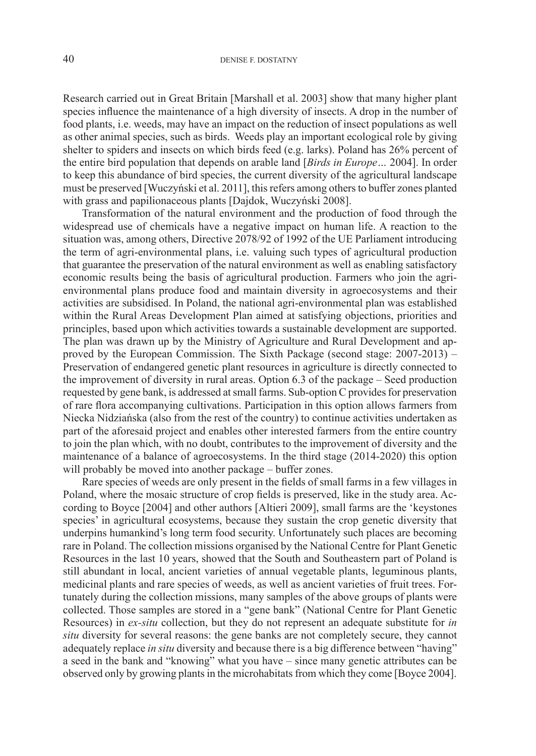Research carried out in Great Britain [Marshall et al. 2003] show that many higher plant species influence the maintenance of a high diversity of insects. A drop in the number of food plants, i.e. weeds, may have an impact on the reduction of insect populations as well as other animal species, such as birds. Weeds play an important ecological role by giving shelter to spiders and insects on which birds feed (e.g. larks). Poland has 26% percent of the entire bird population that depends on arable land [*Birds in Europe…* 2004]. In order to keep this abundance of bird species, the current diversity of the agricultural landscape must be preserved [Wuczyński et al. 2011], this refers among others to buffer zones planted with grass and papilionaceous plants [Dajdok, Wuczyński 2008].

Transformation of the natural environment and the production of food through the widespread use of chemicals have a negative impact on human life. A reaction to the situation was, among others, Directive 2078/92 of 1992 of the UE Parliament introducing the term of agri-environmental plans, i.e. valuing such types of agricultural production that guarantee the preservation of the natural environment as well as enabling satisfactory economic results being the basis of agricultural production. Farmers who join the agrienvironmental plans produce food and maintain diversity in agroecosystems and their activities are subsidised. In Poland, the national agri-environmental plan was established within the Rural Areas Development Plan aimed at satisfying objections, priorities and principles, based upon which activities towards a sustainable development are supported. The plan was drawn up by the Ministry of Agriculture and Rural Development and approved by the European Commission. The Sixth Package (second stage: 2007-2013) – Preservation of endangered genetic plant resources in agriculture is directly connected to the improvement of diversity in rural areas. Option 6.3 of the package – Seed production requested by gene bank, is addressed at small farms. Sub-option C provides for preservation of rare flora accompanying cultivations. Participation in this option allows farmers from Niecka Nidziańska (also from the rest of the country) to continue activities undertaken as part of the aforesaid project and enables other interested farmers from the entire country to join the plan which, with no doubt, contributes to the improvement of diversity and the maintenance of a balance of agroecosystems. In the third stage (2014-2020) this option will probably be moved into another package – buffer zones.

Rare species of weeds are only present in the fields of small farms in a few villages in Poland, where the mosaic structure of crop fields is preserved, like in the study area. According to Boyce [2004] and other authors [Altieri 2009], small farms are the 'keystones species' in agricultural ecosystems, because they sustain the crop genetic diversity that underpins humankind's long term food security. Unfortunately such places are becoming rare in Poland. The collection missions organised by the National Centre for Plant Genetic Resources in the last 10 years, showed that the South and Southeastern part of Poland is still abundant in local, ancient varieties of annual vegetable plants, leguminous plants, medicinal plants and rare species of weeds, as well as ancient varieties of fruit trees. Fortunately during the collection missions, many samples of the above groups of plants were collected. Those samples are stored in a "gene bank" (National Centre for Plant Genetic Resources) in *ex-situ* collection, but they do not represent an adequate substitute for *in situ* diversity for several reasons: the gene banks are not completely secure, they cannot adequately replace *in situ* diversity and because there is a big difference between "having" a seed in the bank and "knowing" what you have – since many genetic attributes can be observed only by growing plants in the microhabitats from which they come [Boyce 2004].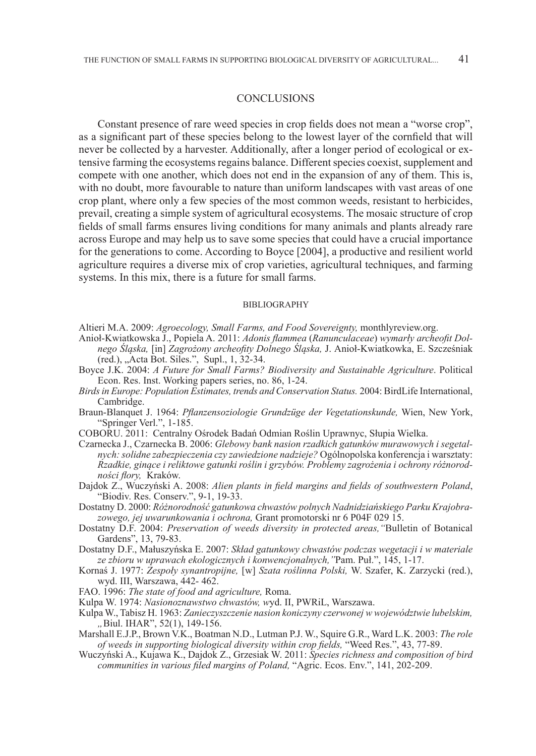#### **CONCLUSIONS**

Constant presence of rare weed species in crop fields does not mean a "worse crop", as a significant part of these species belong to the lowest layer of the cornfield that will never be collected by a harvester. Additionally, after a longer period of ecological or extensive farming the ecosystems regains balance. Different species coexist, supplement and compete with one another, which does not end in the expansion of any of them. This is, with no doubt, more favourable to nature than uniform landscapes with vast areas of one crop plant, where only a few species of the most common weeds, resistant to herbicides, prevail, creating a simple system of agricultural ecosystems. The mosaic structure of crop fields of small farms ensures living conditions for many animals and plants already rare across Europe and may help us to save some species that could have a crucial importance for the generations to come. According to Boyce [2004], a productive and resilient world agriculture requires a diverse mix of crop varieties, agricultural techniques, and farming systems. In this mix, there is a future for small farms.

#### BIBLIOGRAPHY

Altieri M.A. 2009: *Agroecology, Small Farms, and Food Sovereignty,* monthlyreview.org.

- Anioł-Kwiatkowska J., Popiela A. 2011: *Adonis flammea* (*Ranunculaceae*) *wymarły archeofit Dolnego Śląska,* [in] *Zagrożony archeofity Dolnego Śląska,* J. Anioł-Kwiatkowka, E. Szcześniak (red.), "Acta Bot. Siles.", Supl., 1, 32-34.
- Boyce J.K. 2004: *A Future for Small Farms? Biodiversity and Sustainable Agriculture*. Political Econ. Res. Inst. Working papers series, no. 86, 1-24.
- *Birds in Europe: Population Estimates, trends and Conservation Status.* 2004: BirdLife International, Cambridge.
- Braun-Blanquet J. 1964: *Pflanzensoziologie Grundzüge der Vegetationskunde,* Wien, New York, "Springer Verl.", 1-185.
- COBORU. 2011: Centralny Ośrodek Badań Odmian Roślin Uprawnyc, Słupia Wielka.
- Czarnecka J., Czarnecka B. 2006: *Glebowy bank nasion rzadkich gatunków murawowych i segetalnych: solidne zabezpieczenia czy zawiedzione nadzieje?* Ogólnopolska konferencja i warsztaty: *Rzadkie, ginące i reliktowe gatunki roślin i grzybów. Problemy zagrożenia i ochrony różnorodności flory,* Kraków.
- Dajdok Z., Wuczyński A. 2008: *Alien plants in field margins and fields of southwestern Poland*, "Biodiv. Res. Conserv.", 9-1, 19-33.
- Dostatny D. 2000: *Różnorodność gatunkowa chwastów polnych Nadnidziańskiego Parku Krajobrazowego, jej uwarunkowania i ochrona,* Grant promotorski nr 6 P04F 029 15.
- Dostatny D.F. 2004: *Preservation of weeds diversity in protected areas,"*Bulletin of Botanical Gardens", 13, 79-83.
- Dostatny D.F., Małuszyńska E. 2007: *Skład gatunkowy chwastów podczas wegetacji i w materiale ze zbioru w uprawach ekologicznych i konwencjonalnych,"*Pam. Puł.", 145, 1-17.
- Kornaś J. 1977: *Zespoły synantropijne,* [w] *Szata roślinna Polski,* W. Szafer, K. Zarzycki (red.), wyd. III, Warszawa, 442- 462.
- FAO. 1996: *The state of food and agriculture,* Roma.
- Kulpa W. 1974: *Nasionoznawstwo chwastów, w*yd. II, PWRiL, Warszawa.
- Kulpa W., Tabisz H. 1963: *Zanieczyszczenie nasion koniczyny czerwonej w województwie lubelskim, "*Biul. IHAR", 52(1), 149-156.
- Marshall E.J.P., Brown V.K., Boatman N.D., Lutman P.J. W., Squire G.R., Ward L.K. 2003: *The role of weeds in supporting biological diversity within crop fields,* "Weed Res.", 43, 77-89.
- Wuczyński A., Kujawa K., Dajdok Z., Grzesiak W. 2011: *Species richness and composition of bird communities in various filed margins of Poland,* "Agric. Ecos. Env.", 141, 202-209.